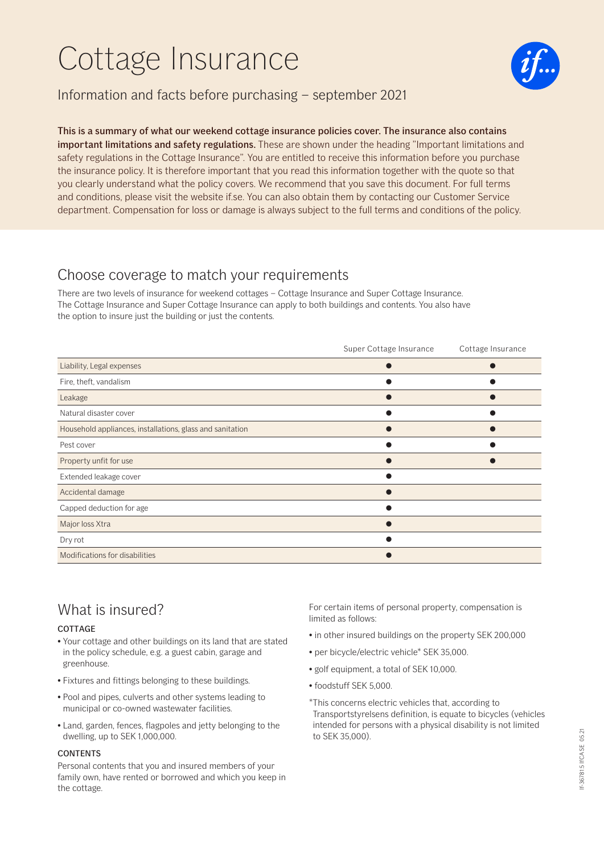# Cottage Insurance



### Information and facts before purchasing – september 2021

#### This is a summary of what our weekend cottage insurance policies cover. The insurance also contains important limitations and safety regulations. These are shown under the heading "Important limitations and safety regulations in the Cottage Insurance". You are entitled to receive this information before you purchase the insurance policy. It is therefore important that you read this information together with the quote so that you clearly understand what the policy covers. We recommend that you save this document. For full terms and conditions, please visit the website if.se. You can also obtain them by contacting our Customer Service department. Compensation for loss or damage is always subject to the full terms and conditions of the policy.

### Choose coverage to match your requirements

There are two levels of insurance for weekend cottages – Cottage Insurance and Super Cottage Insurance. The Cottage Insurance and Super Cottage Insurance can apply to both buildings and contents. You also have the option to insure just the building or just the contents.

|                                                           | Super Cottage Insurance | Cottage Insurance |
|-----------------------------------------------------------|-------------------------|-------------------|
| Liability, Legal expenses                                 |                         |                   |
| Fire, theft, vandalism                                    |                         |                   |
| Leakage                                                   |                         |                   |
| Natural disaster cover                                    |                         |                   |
| Household appliances, installations, glass and sanitation |                         |                   |
| Pest cover                                                |                         |                   |
| Property unfit for use                                    |                         |                   |
| Extended leakage cover                                    |                         |                   |
| Accidental damage                                         |                         |                   |
| Capped deduction for age                                  |                         |                   |
| Major loss Xtra                                           |                         |                   |
| Dry rot                                                   |                         |                   |
| Modifications for disabilities                            |                         |                   |

# What is insured?

#### **COTTAGE**

- Your cottage and other buildings on its land that are stated in the policy schedule, e.g. a guest cabin, garage and greenhouse.
- Fixtures and fittings belonging to these buildings.
- Pool and pipes, culverts and other systems leading to municipal or co-owned wastewater facilities.
- Land, garden, fences, flagpoles and jetty belonging to the dwelling, up to SEK 1,000,000.

#### CONTENTS

Personal contents that you and insured members of your family own, have rented or borrowed and which you keep in the cottage.

For certain items of personal property, compensation is limited as follows:

- in other insured buildings on the property SEK 200,000
- per bicycle/electric vehicle\* SEK 35,000.
- golf equipment, a total of SEK 10,000.
- foodstuff SEK 5,000.

\*This concerns electric vehicles that, according to Transportstyrelsens definition, is equate to bicycles (vehicles intended for persons with a physical disability is not limited to SEK 35,000).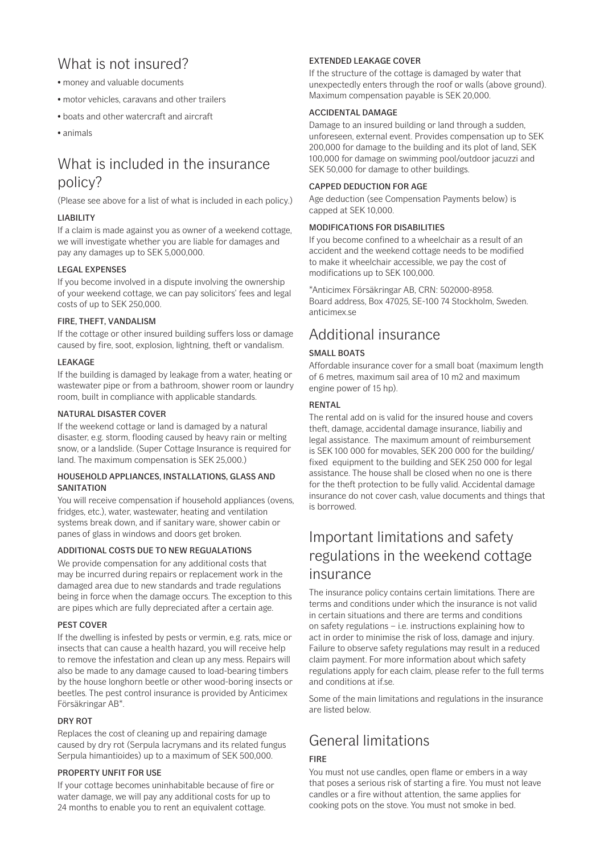# What is not insured?

- money and valuable documents
- motor vehicles, caravans and other trailers
- boats and other watercraft and aircraft
- animals

# What is included in the insurance policy?

(Please see above for a list of what is included in each policy.)

#### LIABILITY

If a claim is made against you as owner of a weekend cottage, we will investigate whether you are liable for damages and pay any damages up to SEK 5,000,000.

#### LEGAL EXPENSES

If you become involved in a dispute involving the ownership of your weekend cottage, we can pay solicitors' fees and legal costs of up to SEK 250,000.

#### FIRE, THEFT, VANDALISM

If the cottage or other insured building suffers loss or damage caused by fire, soot, explosion, lightning, theft or vandalism.

#### **LEAKAGE**

If the building is damaged by leakage from a water, heating or wastewater pipe or from a bathroom, shower room or laundry room, built in compliance with applicable standards.

#### NATURAL DISASTER COVER

If the weekend cottage or land is damaged by a natural disaster, e.g. storm, flooding caused by heavy rain or melting snow, or a landslide. (Super Cottage Insurance is required for land. The maximum compensation is SEK 25,000.)

#### HOUSEHOLD APPLIANCES, INSTALLATIONS, GLASS AND **SANITATION**

You will receive compensation if household appliances (ovens, fridges, etc.), water, wastewater, heating and ventilation systems break down, and if sanitary ware, shower cabin or panes of glass in windows and doors get broken.

#### ADDITIONAL COSTS DUE TO NEW REGUALATIONS

We provide compensation for any additional costs that may be incurred during repairs or replacement work in the damaged area due to new standards and trade regulations being in force when the damage occurs. The exception to this are pipes which are fully depreciated after a certain age.

#### PEST COVER

If the dwelling is infested by pests or vermin, e.g. rats, mice or insects that can cause a health hazard, you will receive help to remove the infestation and clean up any mess. Repairs will also be made to any damage caused to load-bearing timbers by the house longhorn beetle or other wood-boring insects or beetles. The pest control insurance is provided by Anticimex Försäkringar AB\*.

#### DRY ROT

Replaces the cost of cleaning up and repairing damage caused by dry rot (Serpula lacrymans and its related fungus Serpula himantioides) up to a maximum of SEK 500,000.

#### PROPERTY UNFIT FOR USE

If your cottage becomes uninhabitable because of fire or water damage, we will pay any additional costs for up to 24 months to enable you to rent an equivalent cottage.

#### EXTENDED LEAKAGE COVER

If the structure of the cottage is damaged by water that unexpectedly enters through the roof or walls (above ground). Maximum compensation payable is SEK 20,000.

#### ACCIDENTAL DAMAGE

Damage to an insured building or land through a sudden, unforeseen, external event. Provides compensation up to SEK 200,000 for damage to the building and its plot of land, SEK 100,000 for damage on swimming pool/outdoor jacuzzi and SEK 50,000 for damage to other buildings.

#### CAPPED DEDUCTION FOR AGE

Age deduction (see Compensation Payments below) is capped at SEK 10,000.

#### MODIFICATIONS FOR DISABILITIES

If you become confined to a wheelchair as a result of an accident and the weekend cottage needs to be modified to make it wheelchair accessible, we pay the cost of modifications up to SEK 100,000.

\*Anticimex Försäkringar AB, CRN: 502000-8958. Board address, Box 47025, SE-100 74 Stockholm, Sweden. anticimex.se

# Additional insurance

#### SMALL BOATS

Affordable insurance cover for a small boat (maximum length of 6 metres, maximum sail area of 10 m2 and maximum engine power of 15 hp).

#### RENTAL

The rental add on is valid for the insured house and covers theft, damage, accidental damage insurance, liabiliy and legal assistance. The maximum amount of reimbursement is SEK 100 000 for movables, SEK 200 000 for the building/ fixed equipment to the building and SEK 250 000 for legal assistance. The house shall be closed when no one is there for the theft protection to be fully valid. Accidental damage insurance do not cover cash, value documents and things that is borrowed.

# Important limitations and safety regulations in the weekend cottage insurance

The insurance policy contains certain limitations. There are terms and conditions under which the insurance is not valid in certain situations and there are terms and conditions on safety regulations – i.e. instructions explaining how to act in order to minimise the risk of loss, damage and injury. Failure to observe safety regulations may result in a reduced claim payment. For more information about which safety regulations apply for each claim, please refer to the full terms and conditions at if.se.

Some of the main limitations and regulations in the insurance are listed below.

# General limitations

#### FIRE

You must not use candles, open flame or embers in a way that poses a serious risk of starting a fire. You must not leave candles or a fire without attention, the same applies for cooking pots on the stove. You must not smoke in bed.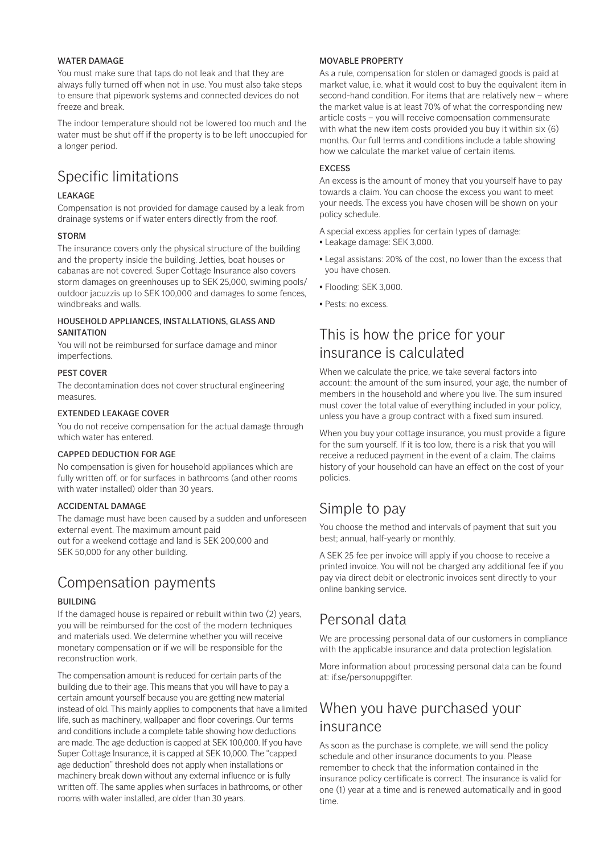#### WATER DAMAGE

You must make sure that taps do not leak and that they are always fully turned off when not in use. You must also take steps to ensure that pipework systems and connected devices do not freeze and break.

The indoor temperature should not be lowered too much and the water must be shut off if the property is to be left unoccupied for a longer period.

# Specific limitations

#### LEAKAGE

Compensation is not provided for damage caused by a leak from drainage systems or if water enters directly from the roof.

#### **STORM**

The insurance covers only the physical structure of the building and the property inside the building. Jetties, boat houses or cabanas are not covered. Super Cottage Insurance also covers storm damages on greenhouses up to SEK 25,000, swiming pools/ outdoor jacuzzis up to SEK 100,000 and damages to some fences, windbreaks and walls.

#### HOUSEHOLD APPLIANCES, INSTALLATIONS, GLASS AND **SANITATION**

You will not be reimbursed for surface damage and minor imperfections.

#### PEST COVER

The decontamination does not cover structural engineering measures.

#### EXTENDED LEAKAGE COVER

You do not receive compensation for the actual damage through which water has entered.

#### CAPPED DEDUCTION FOR AGE

No compensation is given for household appliances which are fully written off, or for surfaces in bathrooms (and other rooms with water installed) older than 30 years.

#### ACCIDENTAL DAMAGE

The damage must have been caused by a sudden and unforeseen external event. The maximum amount paid out for a weekend cottage and land is SEK 200,000 and SEK 50,000 for any other building.

### Compensation payments

#### BUILDING

If the damaged house is repaired or rebuilt within two (2) years, you will be reimbursed for the cost of the modern techniques and materials used. We determine whether you will receive monetary compensation or if we will be responsible for the reconstruction work.

The compensation amount is reduced for certain parts of the building due to their age. This means that you will have to pay a certain amount yourself because you are getting new material instead of old. This mainly applies to components that have a limited life, such as machinery, wallpaper and floor coverings. Our terms and conditions include a complete table showing how deductions are made. The age deduction is capped at SEK 100,000. If you have Super Cottage Insurance, it is capped at SEK 10,000. The "capped age deduction" threshold does not apply when installations or machinery break down without any external influence or is fully written off. The same applies when surfaces in bathrooms, or other rooms with water installed, are older than 30 years.

#### MOVABLE PROPERTY

As a rule, compensation for stolen or damaged goods is paid at market value, i.e. what it would cost to buy the equivalent item in second-hand condition. For items that are relatively new – where the market value is at least 70% of what the corresponding new article costs – you will receive compensation commensurate with what the new item costs provided you buy it within six (6) months. Our full terms and conditions include a table showing how we calculate the market value of certain items.

#### EXCESS

An excess is the amount of money that you yourself have to pay towards a claim. You can choose the excess you want to meet your needs. The excess you have chosen will be shown on your policy schedule.

A special excess applies for certain types of damage:

- Leakage damage: SEK 3,000.
- Legal assistans: 20% of the cost, no lower than the excess that you have chosen.
- Flooding: SEK 3,000.
- Pests: no excess.

### This is how the price for your insurance is calculated

When we calculate the price, we take several factors into account: the amount of the sum insured, your age, the number of members in the household and where you live. The sum insured must cover the total value of everything included in your policy, unless you have a group contract with a fixed sum insured.

When you buy your cottage insurance, you must provide a figure for the sum yourself. If it is too low, there is a risk that you will receive a reduced payment in the event of a claim. The claims history of your household can have an effect on the cost of your policies.

### Simple to pay

You choose the method and intervals of payment that suit you best; annual, half-yearly or monthly.

A SEK 25 fee per invoice will apply if you choose to receive a printed invoice. You will not be charged any additional fee if you pay via direct debit or electronic invoices sent directly to your online banking service.

### Personal data

We are processing personal data of our customers in compliance with the applicable insurance and data protection legislation.

More information about processing personal data can be found at: if.se/personuppgifter.

### When you have purchased your insurance

As soon as the purchase is complete, we will send the policy schedule and other insurance documents to you. Please remember to check that the information contained in the insurance policy certificate is correct. The insurance is valid for one (1) year at a time and is renewed automatically and in good time.